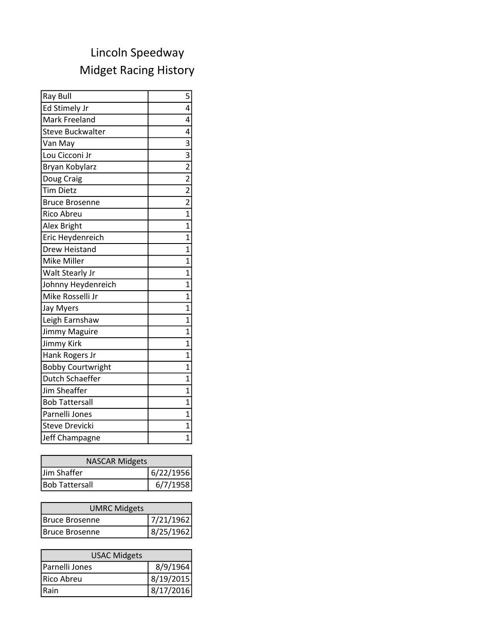## Midget Racing History Lincoln Speedway

| Ray Bull                 | 5                                                                     |
|--------------------------|-----------------------------------------------------------------------|
| Ed Stimely Jr            | 4                                                                     |
| Mark Freeland            | 4                                                                     |
| <b>Steve Buckwalter</b>  | $\overline{4}$                                                        |
| Van May                  |                                                                       |
| Lou Cicconi Jr           | $\frac{1}{3}$ $\frac{3}{2}$ $\frac{2}{2}$ $\frac{2}{2}$ $\frac{2}{1}$ |
| Bryan Kobylarz           |                                                                       |
| Doug Craig               |                                                                       |
| <b>Tim Dietz</b>         |                                                                       |
| <b>Bruce Brosenne</b>    |                                                                       |
| Rico Abreu               |                                                                       |
| Alex Bright              | $\overline{1}$                                                        |
| Eric Heydenreich         | $\mathbf 1$                                                           |
| <b>Drew Heistand</b>     | $\overline{1}$                                                        |
| Mike Miller              | 1                                                                     |
| Walt Stearly Jr          | $\overline{1}$                                                        |
| Johnny Heydenreich       | $\overline{1}$                                                        |
| Mike Rosselli Jr         | $\overline{1}$                                                        |
| Jay Myers                | $\overline{1}$                                                        |
| Leigh Earnshaw           | $\overline{1}$                                                        |
| Jimmy Maguire            | $\overline{1}$                                                        |
| <b>Jimmy Kirk</b>        | $\overline{1}$                                                        |
| Hank Rogers Jr           | $\mathbf 1$                                                           |
| <b>Bobby Courtwright</b> | $\overline{1}$                                                        |
| Dutch Schaeffer          | $\overline{1}$                                                        |
| <b>Jim Sheaffer</b>      | $\overline{1}$                                                        |
| <b>Bob Tattersall</b>    | $\overline{1}$                                                        |
| Parnelli Jones           | 1                                                                     |
| <b>Steve Drevicki</b>    | $\overline{1}$                                                        |
| Jeff Champagne           | $\overline{1}$                                                        |

| <b>NASCAR Midgets</b> |           |
|-----------------------|-----------|
| Jim Shaffer           | 6/22/1956 |
| <b>Bob Tattersall</b> | 6/7/1958  |

| <b>UMRC Midgets</b> |           |  |
|---------------------|-----------|--|
| Bruce Brosenne      | 7/21/1962 |  |
| Bruce Brosenne      | 8/25/1962 |  |

| <b>USAC Midgets</b> |           |
|---------------------|-----------|
| Parnelli Jones      | 8/9/1964  |
| Rico Abreu          | 8/19/2015 |
| Rain                | 8/17/2016 |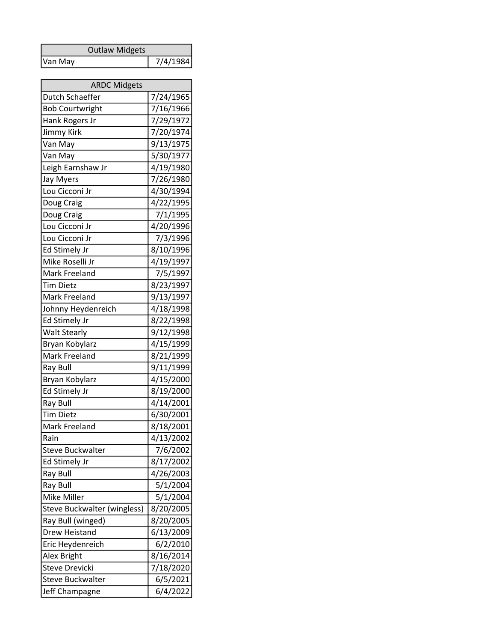|         | <b>Outlaw Midgets</b> |          |
|---------|-----------------------|----------|
| Van May |                       | 7/4/1984 |

| <b>ARDC Midgets</b>         |           |  |
|-----------------------------|-----------|--|
| Dutch Schaeffer             | 7/24/1965 |  |
| <b>Bob Courtwright</b>      | 7/16/1966 |  |
| Hank Rogers Jr              | 7/29/1972 |  |
| <b>Jimmy Kirk</b>           | 7/20/1974 |  |
| Van May                     | 9/13/1975 |  |
| Van May                     | 5/30/1977 |  |
| Leigh Earnshaw Jr           | 4/19/1980 |  |
| <b>Jay Myers</b>            | 7/26/1980 |  |
| Lou Cicconi Jr              | 4/30/1994 |  |
| Doug Craig                  | 4/22/1995 |  |
| Doug Craig                  | 7/1/1995  |  |
| Lou Cicconi Jr              | 4/20/1996 |  |
| Lou Cicconi Jr              | 7/3/1996  |  |
| Ed Stimely Jr               | 8/10/1996 |  |
| Mike Roselli Jr             | 4/19/1997 |  |
| Mark Freeland               | 7/5/1997  |  |
| <b>Tim Dietz</b>            | 8/23/1997 |  |
| Mark Freeland               | 9/13/1997 |  |
| Johnny Heydenreich          | 4/18/1998 |  |
| Ed Stimely Jr               | 8/22/1998 |  |
| <b>Walt Stearly</b>         | 9/12/1998 |  |
| Bryan Kobylarz              | 4/15/1999 |  |
| Mark Freeland               | 8/21/1999 |  |
| Ray Bull                    | 9/11/1999 |  |
| Bryan Kobylarz              | 4/15/2000 |  |
| Ed Stimely Jr               | 8/19/2000 |  |
| Ray Bull                    | 4/14/2001 |  |
| <b>Tim Dietz</b>            | 6/30/2001 |  |
| Mark Freeland               | 8/18/2001 |  |
| Rain                        | 4/13/2002 |  |
| <b>Steve Buckwalter</b>     | 7/6/2002  |  |
| Ed Stimely Jr               | 8/17/2002 |  |
| Ray Bull                    | 4/26/2003 |  |
| Ray Bull                    | 5/1/2004  |  |
| Mike Miller                 | 5/1/2004  |  |
| Steve Buckwalter (wingless) | 8/20/2005 |  |
| Ray Bull (winged)           | 8/20/2005 |  |
| Drew Heistand               | 6/13/2009 |  |
| Eric Heydenreich            | 6/2/2010  |  |
| Alex Bright                 | 8/16/2014 |  |
| Steve Drevicki              | 7/18/2020 |  |
| <b>Steve Buckwalter</b>     | 6/5/2021  |  |
| Jeff Champagne              | 6/4/2022  |  |